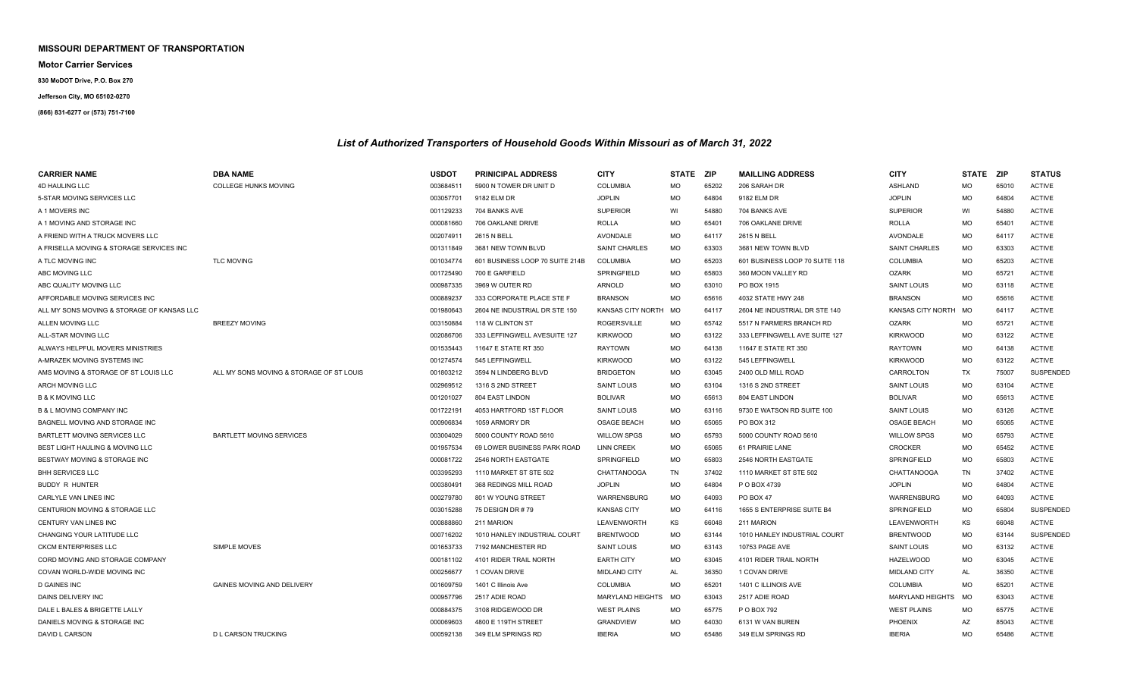## **MISSOURI DEPARTMENT OF TRANSPORTATION**

**Motor Carrier Services**

**830 MoDOT Drive, P.O. Box 270**

## **Jefferson City, MO 65102-0270**

## **(866) 831-6277 or (573) 751-7100**

## *List of Authorized Transporters of Household Goods Within Missouri as of March 31, 2022*

| <b>CARRIER NAME</b>                        | <b>DBA NAME</b>                          | <b>USDOT</b> | <b>PRINICIPAL ADDRESS</b>       | <b>CITY</b>              | STATE ZIP |       | <b>MAILLING ADDRESS</b>        | <b>CITY</b>              | STATE ZIP |       | <b>STATUS</b>    |
|--------------------------------------------|------------------------------------------|--------------|---------------------------------|--------------------------|-----------|-------|--------------------------------|--------------------------|-----------|-------|------------------|
| <b>4D HAULING LLC</b>                      | COLLEGE HUNKS MOVING                     | 003684511    | 5900 N TOWER DR UNIT D          | <b>COLUMBIA</b>          | MO        | 65202 | 206 SARAH DR                   | ASHLAND                  | <b>MO</b> | 65010 | <b>ACTIVE</b>    |
| 5-STAR MOVING SERVICES LLC                 |                                          | 003057701    | 9182 ELM DR                     | <b>JOPLIN</b>            | <b>MO</b> | 64804 | 9182 ELM DR                    | <b>JOPLIN</b>            | <b>MO</b> | 64804 | <b>ACTIVE</b>    |
| A 1 MOVERS INC                             |                                          | 001129233    | 704 BANKS AVE                   | <b>SUPERIOR</b>          | WI        | 54880 | 704 BANKS AVE                  | <b>SUPERIOR</b>          | WI        | 54880 | <b>ACTIVE</b>    |
| A 1 MOVING AND STORAGE INC                 |                                          | 000081660    | 706 OAKLANE DRIVE               | <b>ROLLA</b>             | <b>MO</b> | 65401 | 706 OAKLANE DRIVE              | <b>ROLLA</b>             | <b>MO</b> | 65401 | <b>ACTIVE</b>    |
| A FRIEND WITH A TRUCK MOVERS LLC           |                                          | 002074911    | 2615 N BELL                     | <b>AVONDALE</b>          | MO        | 64117 | 2615 N BELL                    | AVONDALE                 | <b>MO</b> | 64117 | <b>ACTIVE</b>    |
| A FRISELLA MOVING & STORAGE SERVICES INC   |                                          | 001311849    | 3681 NEW TOWN BLVD              | <b>SAINT CHARLES</b>     | MO        | 63303 | 3681 NEW TOWN BLVD             | <b>SAINT CHARLES</b>     | MO        | 63303 | <b>ACTIVE</b>    |
| A TLC MOVING INC                           | <b>TLC MOVING</b>                        | 001034774    | 601 BUSINESS LOOP 70 SUITE 214B | <b>COLUMBIA</b>          | <b>MO</b> | 65203 | 601 BUSINESS LOOP 70 SUITE 118 | <b>COLUMBIA</b>          | <b>MO</b> | 65203 | <b>ACTIVE</b>    |
| ABC MOVING LLC                             |                                          | 001725490    | 700 E GARFIELD                  | SPRINGFIELD              | <b>MO</b> | 65803 | 360 MOON VALLEY RD             | <b>OZARK</b>             | <b>MO</b> | 65721 | <b>ACTIVE</b>    |
| ABC QUALITY MOVING LLC                     |                                          | 000987335    | 3969 W OUTER RD                 | ARNOLD                   | <b>MO</b> | 63010 | PO BOX 1915                    | <b>SAINT LOUIS</b>       | <b>MO</b> | 63118 | <b>ACTIVE</b>    |
| AFFORDABLE MOVING SERVICES INC             |                                          | 000889237    | 333 CORPORATE PLACE STE F       | <b>BRANSON</b>           | MO        | 65616 | 4032 STATE HWY 248             | <b>BRANSON</b>           | <b>MO</b> | 65616 | <b>ACTIVE</b>    |
| ALL MY SONS MOVING & STORAGE OF KANSAS LLC |                                          | 001980643    | 2604 NE INDUSTRIAL DR STE 150   | <b>KANSAS CITY NORTH</b> | MO        | 64117 | 2604 NE INDUSTRIAL DR STE 140  | <b>KANSAS CITY NORTH</b> | MO        | 64117 | <b>ACTIVE</b>    |
| ALLEN MOVING LLC                           | <b>BREEZY MOVING</b>                     | 003150884    | 118 W CLINTON ST                | <b>ROGERSVILLE</b>       | MO        | 65742 | 5517 N FARMERS BRANCH RD       | <b>OZARK</b>             | MO        | 65721 | <b>ACTIVE</b>    |
| ALL-STAR MOVING LLC                        |                                          | 002086706    | 333 LEFFINGWELL AVESUITE 127    | <b>KIRKWOOD</b>          | MO        | 63122 | 333 LEFFINGWELL AVE SUITE 127  | <b>KIRKWOOD</b>          | <b>MO</b> | 63122 | <b>ACTIVE</b>    |
| ALWAYS HELPFUL MOVERS MINISTRIES           |                                          | 001535443    | 11647 E STATE RT 350            | <b>RAYTOWN</b>           | MO        | 64138 | 11647 E STATE RT 350           | <b>RAYTOWN</b>           | <b>MO</b> | 64138 | <b>ACTIVE</b>    |
| A-MRAZEK MOVING SYSTEMS INC                |                                          | 001274574    | 545 LEFFINGWELL                 | <b>KIRKWOOD</b>          | <b>MO</b> | 63122 | 545 LEFFINGWELL                | <b>KIRKWOOD</b>          | MO        | 63122 | <b>ACTIVE</b>    |
| AMS MOVING & STORAGE OF ST LOUIS LLC       | ALL MY SONS MOVING & STORAGE OF ST LOUIS | 001803212    | 3594 N LINDBERG BLVD            | <b>BRIDGETON</b>         | <b>MO</b> | 63045 | 2400 OLD MILL ROAD             | CARROLTON                | TX        | 75007 | <b>SUSPENDED</b> |
| <b>ARCH MOVING LLC</b>                     |                                          | 002969512    | 1316 S 2ND STREET               | <b>SAINT LOUIS</b>       | <b>MO</b> | 63104 | 1316 S 2ND STREET              | <b>SAINT LOUIS</b>       | <b>MO</b> | 63104 | <b>ACTIVE</b>    |
| <b>B &amp; K MOVING LLC</b>                |                                          | 001201027    | 804 EAST LINDON                 | <b>BOLIVAR</b>           | <b>MO</b> | 65613 | 804 EAST LINDON                | <b>BOLIVAR</b>           | <b>MO</b> | 65613 | <b>ACTIVE</b>    |
| <b>B &amp; L MOVING COMPANY INC</b>        |                                          | 001722191    | 4053 HARTFORD 1ST FLOOR         | <b>SAINT LOUIS</b>       | <b>MO</b> | 63116 | 9730 E WATSON RD SUITE 100     | SAINT LOUIS              | <b>MO</b> | 63126 | <b>ACTIVE</b>    |
| BAGNELL MOVING AND STORAGE INC             |                                          | 000906834    | 1059 ARMORY DR                  | <b>OSAGE BEACH</b>       | <b>MO</b> | 65065 | PO BOX 312                     | <b>OSAGE BEACH</b>       | MO        | 65065 | <b>ACTIVE</b>    |
| BARTLETT MOVING SERVICES LLC               | <b>BARTLETT MOVING SERVICES</b>          | 003004029    | 5000 COUNTY ROAD 5610           | <b>WILLOW SPGS</b>       | <b>MO</b> | 65793 | 5000 COUNTY ROAD 5610          | <b>WILLOW SPGS</b>       | <b>MO</b> | 65793 | <b>ACTIVE</b>    |
| <b>BEST LIGHT HAULING &amp; MOVING LLC</b> |                                          | 001957534    | 69 LOWER BUSINESS PARK ROAD     | <b>LINN CREEK</b>        | <b>MO</b> | 65065 | 61 PRAIRIE LANE                | <b>CROCKER</b>           | <b>MO</b> | 65452 | <b>ACTIVE</b>    |
| BESTWAY MOVING & STORAGE INC               |                                          | 000081722    | 2546 NORTH EASTGATE             | SPRINGFIELD              | <b>MO</b> | 65803 | 2546 NORTH EASTGATE            | SPRINGFIELD              | <b>MO</b> | 65803 | <b>ACTIVE</b>    |
| <b>BHH SERVICES LLC</b>                    |                                          | 003395293    | 1110 MARKET ST STE 502          | CHATTANOOGA              | TN        | 37402 | 1110 MARKET ST STE 502         | CHATTANOOGA              | TN        | 37402 | <b>ACTIVE</b>    |
| <b>BUDDY R HUNTER</b>                      |                                          | 000380491    | 368 REDINGS MILL ROAD           | <b>JOPLIN</b>            | MO        | 64804 | P O BOX 4739                   | <b>JOPLIN</b>            | MO        | 64804 | <b>ACTIVE</b>    |
| CARLYLE VAN LINES INC                      |                                          | 000279780    | 801 W YOUNG STREET              | <b>WARRENSBURG</b>       | MO        | 64093 | PO BOX 47                      | WARRENSBURG              | MO        | 64093 | <b>ACTIVE</b>    |
| <b>CENTURION MOVING &amp; STORAGE LLC</b>  |                                          | 003015288    | 75 DESIGN DR #79                | <b>KANSAS CITY</b>       | <b>MO</b> | 64116 | 1655 S ENTERPRISE SUITE B4     | SPRINGFIELD              | MO        | 65804 | <b>SUSPENDED</b> |
| <b>CENTURY VAN LINES INC</b>               |                                          | 000888860    | 211 MARION                      | LEAVENWORTH              | KS        | 66048 | 211 MARION                     | LEAVENWORTH              | KS        | 66048 | <b>ACTIVE</b>    |
| CHANGING YOUR LATITUDE LLC                 |                                          | 000716202    | 1010 HANLEY INDUSTRIAL COURT    | <b>BRENTWOOD</b>         | <b>MO</b> | 63144 | 1010 HANLEY INDUSTRIAL COURT   | <b>BRENTWOOD</b>         | <b>MO</b> | 63144 | SUSPENDED        |
| <b>CKCM ENTERPRISES LLC</b>                | <b>SIMPLE MOVES</b>                      | 001653733    | 7192 MANCHESTER RD              | <b>SAINT LOUIS</b>       | <b>MO</b> | 63143 | 10753 PAGE AVE                 | SAINT LOUIS              | <b>MO</b> | 63132 | <b>ACTIVE</b>    |
| CORD MOVING AND STORAGE COMPANY            |                                          | 000181102    | 4101 RIDER TRAIL NORTH          | <b>EARTH CITY</b>        | <b>MO</b> | 63045 | 4101 RIDER TRAIL NORTH         | <b>HAZELWOOD</b>         | <b>MO</b> | 63045 | <b>ACTIVE</b>    |
| COVAN WORLD-WIDE MOVING INC                |                                          | 000256677    | 1 COVAN DRIVE                   | <b>MIDLAND CITY</b>      | A         | 36350 | 1 COVAN DRIVE                  | <b>MIDLAND CITY</b>      | AL        | 36350 | <b>ACTIVE</b>    |
| <b>D GAINES INC</b>                        | <b>GAINES MOVING AND DELIVERY</b>        | 001609759    | 1401 C Illinois Ave             | <b>COLUMBIA</b>          | <b>MO</b> | 65201 | 1401 C ILLINOIS AVE            | <b>COLUMBIA</b>          | <b>MO</b> | 65201 | <b>ACTIVE</b>    |
| DAINS DELIVERY INC                         |                                          | 000957796    | 2517 ADIE ROAD                  | <b>MARYLAND HEIGHTS</b>  | <b>MO</b> | 63043 | 2517 ADIE ROAD                 | <b>MARYLAND HEIGHTS</b>  | <b>MO</b> | 63043 | <b>ACTIVE</b>    |
| DALE L BALES & BRIGETTE LALLY              |                                          | 000884375    | 3108 RIDGEWOOD DR               | <b>WEST PLAINS</b>       | MO        | 65775 | P O BOX 792                    | <b>WEST PLAINS</b>       | MO        | 65775 | <b>ACTIVE</b>    |
| DANIELS MOVING & STORAGE INC               |                                          | 000069603    | 4800 E 119TH STREET             | <b>GRANDVIEW</b>         | <b>MO</b> | 64030 | 6131 W VAN BUREN               | PHOENIX                  | AZ        | 85043 | <b>ACTIVE</b>    |
| DAVID L CARSON                             | <b>D L CARSON TRUCKING</b>               | 000592138    | 349 ELM SPRINGS RD              | <b>IBERIA</b>            | <b>MO</b> | 65486 | 349 ELM SPRINGS RD             | <b>IBERIA</b>            | <b>MO</b> | 65486 | <b>ACTIVE</b>    |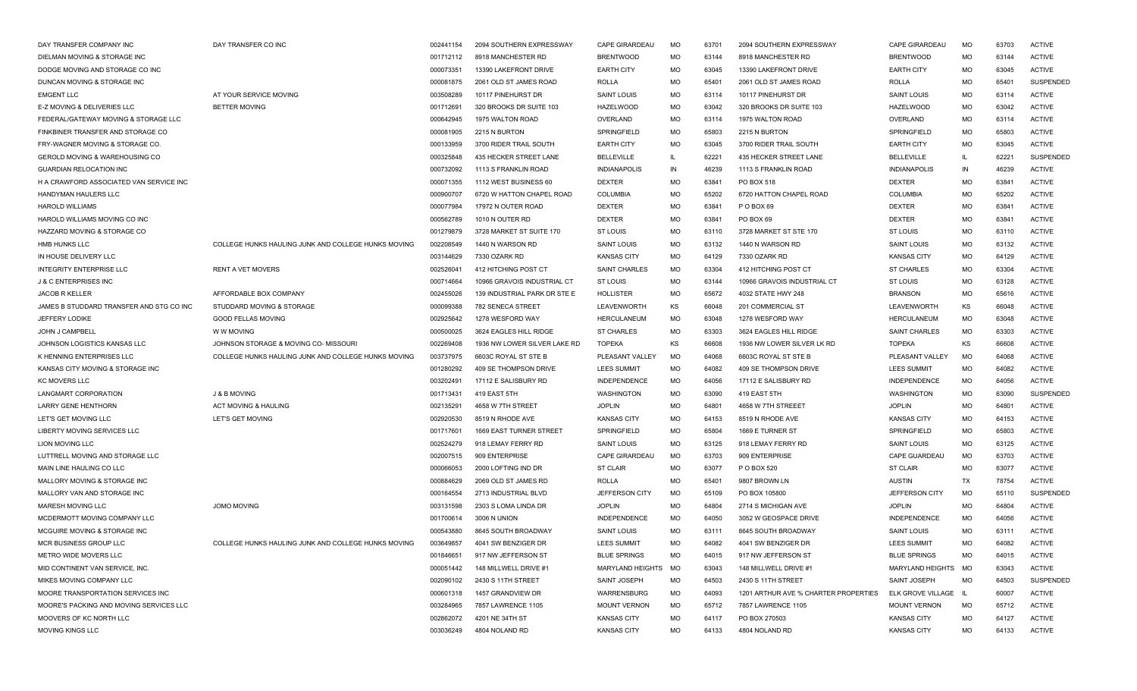| DAY TRANSFER COMPANY INC                  | DAY TRANSFER CO INC                                 | 002441154 | 2094 SOUTHERN EXPRESSWAY       | <b>CAPE GIRARDEAU</b> | <b>MO</b> | 63701 | 2094 SOUTHERN EXPRESSWAY             | <b>CAPE GIRARDEAU</b> | <b>MO</b>    | 63703 | <b>ACTIVE</b>    |
|-------------------------------------------|-----------------------------------------------------|-----------|--------------------------------|-----------------------|-----------|-------|--------------------------------------|-----------------------|--------------|-------|------------------|
| DIELMAN MOVING & STORAGE INC              |                                                     | 001712112 | 8918 MANCHESTER RD             | <b>BRENTWOOD</b>      | MO        | 63144 | 8918 MANCHESTER RD                   | <b>BRENTWOOD</b>      | MO           | 63144 | <b>ACTIVE</b>    |
| DODGE MOVING AND STORAGE CO INC           |                                                     | 000073351 | 13390 LAKEFRONT DRIVE          | <b>EARTH CITY</b>     | MO        | 63045 | 13390 LAKEFRONT DRIVE                | <b>EARTH CITY</b>     | <b>MO</b>    | 63045 | <b>ACTIVE</b>    |
| DUNCAN MOVING & STORAGE INC               |                                                     | 000081875 | 2061 OLD ST JAMES ROAD         | <b>ROLLA</b>          | MO        | 65401 | 2061 OLD ST JAMES ROAD               | ROLLA                 | MO           | 65401 | <b>SUSPENDED</b> |
| <b>EMGENT LLC</b>                         | AT YOUR SERVICE MOVING                              | 003508289 | 10117 PINEHURST DR             | <b>SAINT LOUIS</b>    | MO        | 63114 | 10117 PINEHURST DR                   | <b>SAINT LOUIS</b>    | MO           | 63114 | <b>ACTIVE</b>    |
| E-Z MOVING & DELIVERIES LLC               | <b>BETTER MOVING</b>                                | 001712691 | 320 BROOKS DR SUITE 103        | <b>HAZELWOOD</b>      | MO        | 63042 | 320 BROOKS DR SUITE 103              | <b>HAZELWOOD</b>      | MO           | 63042 | <b>ACTIVE</b>    |
| FEDERAL/GATEWAY MOVING & STORAGE LLC      |                                                     | 000642945 | 1975 WALTON ROAD               | OVERLAND              | MO        | 63114 | 1975 WALTON ROAD                     | OVERLAND              | MO           | 63114 | <b>ACTIVE</b>    |
| FINKBINER TRANSFER AND STORAGE CO         |                                                     | 000081905 | 2215 N BURTON                  | SPRINGFIELD           | MO        | 65803 | 2215 N BURTON                        | SPRINGFIELD           | MO           | 65803 | <b>ACTIVE</b>    |
| FRY-WAGNER MOVING & STORAGE CO.           |                                                     | 000133959 | 3700 RIDER TRAIL SOUTH         | <b>EARTH CITY</b>     | MO        | 63045 | 3700 RIDER TRAIL SOUTH               | <b>EARTH CITY</b>     | MO           | 63045 | <b>ACTIVE</b>    |
| <b>GEROLD MOVING &amp; WAREHOUSING CO</b> |                                                     | 000325848 | 435 HECKER STREET LANE         | <b>BELLEVILLE</b>     | H.        | 62221 | 435 HECKER STREET LANE               | <b>BELLEVILLE</b>     | $\mathsf{I}$ | 62221 | SUSPENDED        |
| <b>GUARDIAN RELOCATION INC</b>            |                                                     | 000732092 | 1113 S FRANKLIN ROAD           | <b>INDIANAPOLIS</b>   | IN        | 46239 | 1113 S FRANKLIN ROAD                 | <b>INDIANAPOLIS</b>   | IN           | 46239 | <b>ACTIVE</b>    |
| H A CRAWFORD ASSOCIATED VAN SERVICE INC   |                                                     | 000071355 | 1112 WEST BUSINESS 60          | <b>DEXTER</b>         | <b>MO</b> | 63841 | PO BOX 518                           | <b>DEXTER</b>         | MO           | 63841 | <b>ACTIVE</b>    |
| HANDYMAN HAULERS LLC                      |                                                     | 000900707 | 6720 W HATTON CHAPEL ROAD      | <b>COLUMBIA</b>       | MO        | 65202 | 6720 HATTON CHAPEL ROAD              | <b>COLUMBIA</b>       | <b>MO</b>    | 65202 | <b>ACTIVE</b>    |
| <b>HAROLD WILLIAMS</b>                    |                                                     | 000077984 | 17972 N OUTER ROAD             | <b>DEXTER</b>         | MO        | 63841 | P O BOX 69                           | <b>DEXTER</b>         | MO           | 63841 | <b>ACTIVE</b>    |
| HAROLD WILLIAMS MOVING CO INC             |                                                     | 000562789 | 1010 N OUTER RD                | <b>DEXTER</b>         | MO        | 63841 | PO BOX 69                            | <b>DEXTER</b>         | <b>MO</b>    | 63841 | <b>ACTIVE</b>    |
| HAZZARD MOVING & STORAGE CO               |                                                     | 001279879 | 3728 MARKET ST SUITE 170       | <b>ST LOUIS</b>       | MO        | 63110 | 3728 MARKET ST STE 170               | <b>ST LOUIS</b>       | <b>MO</b>    | 63110 | <b>ACTIVE</b>    |
| HMB HUNKS LLC                             | COLLEGE HUNKS HAULING JUNK AND COLLEGE HUNKS MOVING | 002208549 | 1440 N WARSON RD               | <b>SAINT LOUIS</b>    | MO        | 63132 | 1440 N WARSON RD                     | <b>SAINT LOUIS</b>    | MO           | 63132 | <b>ACTIVE</b>    |
| IN HOUSE DELIVERY LLC                     |                                                     | 003144629 | 7330 OZARK RD                  | <b>KANSAS CITY</b>    | MO        | 64129 | 7330 OZARK RD                        | <b>KANSAS CITY</b>    | MO           | 64129 | <b>ACTIVE</b>    |
| <b>INTEGRITY ENTERPRISE LLC</b>           | <b>RENT A VET MOVERS</b>                            | 002526041 | 412 HITCHING POST CT           | <b>SAINT CHARLES</b>  | <b>MO</b> | 63304 | 412 HITCHING POST CT                 | <b>ST CHARLES</b>     | MО           | 63304 | <b>ACTIVE</b>    |
| <b>J &amp; C ENTERPRISES INC</b>          |                                                     | 000714664 | 10966 GRAVOIS INDUSTRIAL CT    | <b>ST LOUIS</b>       | MO        | 63144 | 10966 GRAVOIS INDUSTRIAL CT          | <b>ST LOUIS</b>       | MO           | 63128 | <b>ACTIVE</b>    |
| <b>JACOB R KELLER</b>                     | AFFORDABLE BOX COMPANY                              | 002455026 | 139 INDUSTRIAL PARK DR STE E   | <b>HOLLISTER</b>      | MO        | 65672 | 4032 STATE HWY 248                   | <b>BRANSON</b>        | MO           | 65616 | <b>ACTIVE</b>    |
| JAMES B STUDDARD TRANSFER AND STG CO INC  | STUDDARD MOVING & STORAGE                           | 000099388 | 782 SENECA STREET              | LEAVENWORTH           | KS        | 66048 | 201 COMMERCIAL ST                    | LEAVENWORTH           | ΚS           | 66048 | <b>ACTIVE</b>    |
| <b>JEFFERY LODIKE</b>                     | <b>GOOD FELLAS MOVING</b>                           | 002925642 | 1278 WESFORD WAY               | <b>HERCULANEUM</b>    | MO        | 63048 | 1278 WESFORD WAY                     | <b>HERCULANEUM</b>    | МO           | 63048 | <b>ACTIVE</b>    |
| <b>JOHN J CAMPBELL</b>                    | W W MOVING                                          | 000500025 | 3624 EAGLES HILL RIDGE         | <b>ST CHARLES</b>     | <b>MO</b> | 63303 | 3624 EAGLES HILL RIDGE               | <b>SAINT CHARLES</b>  | <b>MO</b>    | 63303 | <b>ACTIVE</b>    |
| JOHNSON LOGISTICS KANSAS LLC              | JOHNSON STORAGE & MOVING CO- MISSOURI               | 002269408 | 1936 NW LOWER SILVER LAKE RD   | <b>TOPEKA</b>         | KS        | 66608 | 1936 NW LOWER SILVER LK RD           | <b>TOPEKA</b>         | ΚS           | 66608 | <b>ACTIVE</b>    |
| K HENNING ENTERPRISES LLC                 | COLLEGE HUNKS HAULING JUNK AND COLLEGE HUNKS MOVING | 003737975 | 6603C ROYAL ST STE B           | PLEASANT VALLEY       | MO        | 64068 | 6603C ROYAL ST STE B                 | PLEASANT VALLEY       | <b>MO</b>    | 64068 | <b>ACTIVE</b>    |
| KANSAS CITY MOVING & STORAGE INC          |                                                     | 001280292 | 409 SE THOMPSON DRIVE          | <b>LEES SUMMIT</b>    | MO        | 64082 | 409 SE THOMPSON DRIVE                | <b>LEES SUMMIT</b>    | MO           | 64082 | <b>ACTIVE</b>    |
| <b>KC MOVERS LLC</b>                      |                                                     | 003202491 | 17112 E SALISBURY RD           | INDEPENDENCE          | MO        | 64056 | 17112 E SALISBURY RD                 | <b>INDEPENDENCE</b>   | <b>MO</b>    | 64056 | <b>ACTIVE</b>    |
| LANGMART CORPORATION                      | J & B MOVING                                        | 001713431 | 419 EAST 5TH                   | WASHINGTON            | MO        | 63090 | 419 EAST 5TH                         | WASHINGTON            | MO           | 63090 | <b>SUSPENDED</b> |
| LARRY GENE HENTHORN                       | <b>ACT MOVING &amp; HAULING</b>                     | 002135291 | 4658 W 7TH STREET              | <b>JOPLIN</b>         | MO        | 64801 | 4658 W 7TH STREEET                   | <b>JOPLIN</b>         | MO           | 64801 | <b>ACTIVE</b>    |
| LET'S GET MOVING LLC                      | <b>LET'S GET MOVING</b>                             | 002920530 | 8519 N RHODE AVE               | <b>KANSAS CITY</b>    | MO        | 64153 | 8519 N RHODE AVE                     | <b>KANSAS CITY</b>    | <b>MO</b>    | 64153 | <b>ACTIVE</b>    |
| LIBERTY MOVING SERVICES LLC               |                                                     | 001717601 | <b>1669 EAST TURNER STREET</b> | SPRINGFIELD           | MO        | 65804 | 1669 E TURNER ST                     | SPRINGFIELD           | <b>MO</b>    | 65803 | <b>ACTIVE</b>    |
| LION MOVING LLC                           |                                                     | 002524279 | 918 LEMAY FERRY RD             | <b>SAINT LOUIS</b>    | MO        | 63125 | 918 LEMAY FERRY RD                   | <b>SAINT LOUIS</b>    | MO           | 63125 | <b>ACTIVE</b>    |
| LUTTRELL MOVING AND STORAGE LLC           |                                                     | 002007515 | 909 ENTERPRISE                 | <b>CAPE GIRARDEAU</b> | <b>MO</b> | 63703 | 909 ENTERPRISE                       | CAPE GUARDEAU         | <b>MO</b>    | 63703 | <b>ACTIVE</b>    |
| MAIN LINE HAULING CO LLC                  |                                                     | 000066053 | 2000 LOFTING IND DR            | <b>ST CLAIR</b>       | MO        | 63077 | P O BOX 520                          | <b>ST CLAIR</b>       | <b>MO</b>    | 63077 | <b>ACTIVE</b>    |
| MALLORY MOVING & STORAGE INC              |                                                     | 000884629 | 2069 OLD ST JAMES RD           | <b>ROLLA</b>          | MO        | 65401 | 9807 BROWN LN                        | <b>AUSTIN</b>         | TX           | 78754 | <b>ACTIVE</b>    |
| MALLORY VAN AND STORAGE INC               |                                                     | 000164554 | 2713 INDUSTRIAL BLVD           | JEFFERSON CITY        | MO        | 65109 | PO BOX 105800                        | <b>JEFFERSON CITY</b> | MO           | 65110 | SUSPENDED        |
| MARESH MOVING LLC                         | <b>JOMO MOVING</b>                                  | 003131598 | 2303 S LOMA LINDA DR           | <b>JOPLIN</b>         | MO        | 64804 | 2714 S MICHIGAN AVE                  | <b>JOPLIN</b>         | <b>MO</b>    | 64804 | <b>ACTIVE</b>    |
| MCDERMOTT MOVING COMPANY LLC              |                                                     | 001700614 | <b>3006 N UNION</b>            | <b>INDEPENDENCE</b>   | MO.       | 64050 | 3052 W GEOSPACE DRIVE                | <b>INDEPENDENCE</b>   | MО           | 64056 | <b>ACTIVE</b>    |
| MCGUIRE MOVING & STORAGE INC              |                                                     | 000543880 | 8645 SOUTH BROADWAY            | <b>SAINT LOUIS</b>    | <b>MO</b> | 63111 | 8645 SOUTH BROADWAY                  | <b>SAINT LOUIS</b>    | <b>MO</b>    | 63111 | <b>ACTIVE</b>    |
| MCR BUSINESS GROUP LLC                    | COLLEGE HUNKS HAULING JUNK AND COLLEGE HUNKS MOVING | 003649857 | 4041 SW BENZIGER DR            | <b>LEES SUMMIT</b>    | <b>MO</b> | 64082 | 4041 SW BENZIGER DR                  | <b>LEES SUMMIT</b>    | MO.          | 64082 | <b>ACTIVE</b>    |
| METRO WIDE MOVERS LLC                     |                                                     | 001846651 | 917 NW JEFFERSON ST            | <b>BLUE SPRINGS</b>   | MO        | 64015 | 917 NW JEFFERSON ST                  | <b>BLUE SPRINGS</b>   | MO           | 64015 | <b>ACTIVE</b>    |
| MID CONTINENT VAN SERVICE, INC            |                                                     | 000051442 | 148 MILLWELL DRIVE #1          | MARYLAND HEIGHTS      | MO        | 63043 | 148 MILLWELL DRIVE #1                | MARYLAND HEIGHTS      | MO           | 63043 | <b>ACTIVE</b>    |
| MIKES MOVING COMPANY LLC                  |                                                     | 002090102 | 2430 S 11TH STREET             | SAINT JOSEPH          | MO        | 64503 | 2430 S 11TH STREET                   | SAINT JOSEPH          | MO           | 64503 | <b>SUSPENDED</b> |
| MOORE TRANSPORTATION SERVICES INC         |                                                     | 000601318 | 1457 GRANDVIEW DR              | WARRENSBURG           | MO        | 64093 | 1201 ARTHUR AVE % CHARTER PROPERTIES | ELK GROVE VILLAGE     | - 11         | 60007 | <b>ACTIVE</b>    |
| MOORE'S PACKING AND MOVING SERVICES LLC   |                                                     | 003284965 | 7857 LAWRENCE 1105             | <b>MOUNT VERNON</b>   | MO        | 65712 | 7857 LAWRENCE 1105                   | <b>MOUNT VERNON</b>   | MO           | 65712 | <b>ACTIVE</b>    |
| MOOVERS OF KC NORTH LLC                   |                                                     | 002862072 | 4201 NE 34TH ST                | <b>KANSAS CITY</b>    | MO        | 64117 | PO BOX 270503                        | <b>KANSAS CITY</b>    | MO           | 64127 | <b>ACTIVE</b>    |
| MOVING KINGS LLC                          |                                                     | 003036249 | 4804 NOLAND RD                 | <b>KANSAS CITY</b>    | MO        | 64133 | 4804 NOLAND RD                       | <b>KANSAS CITY</b>    | MO           | 64133 | <b>ACTIVE</b>    |